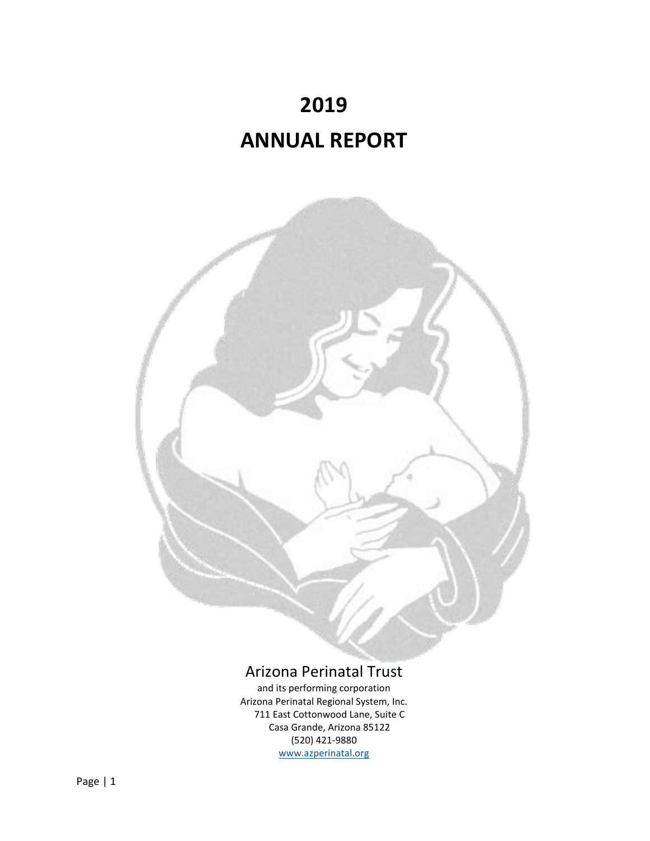



# Arizona Perinatal Trust

and its performing corporation Arizona Perinatal Regional System, Inc. 711 East Cottonwood Lane, Suite C Casa Grande, Arizona 85122 (520) 421‐9880 [www.azperinatal.org](http://www.azperinatal.org/)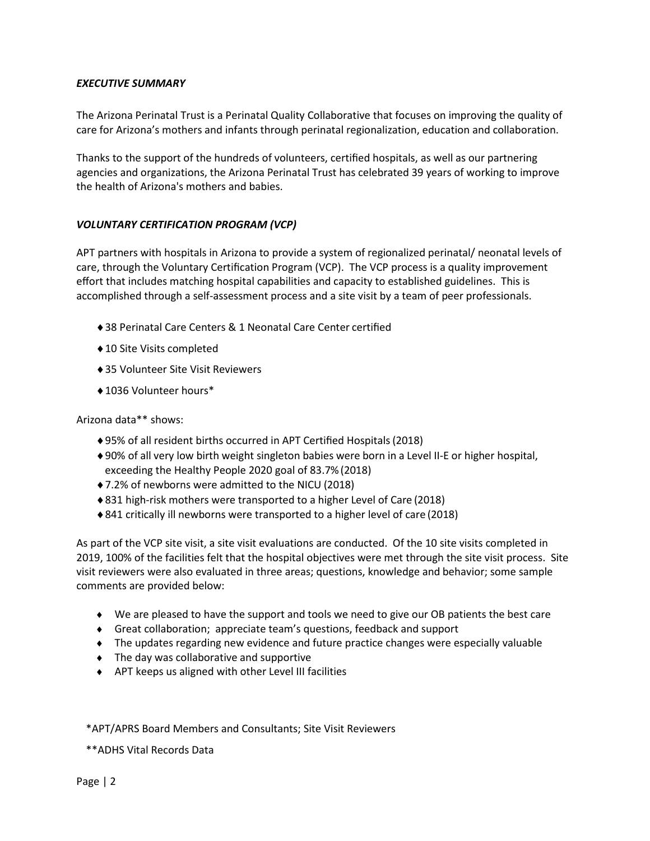## *EXECUTIVE SUMMARY*

The Arizona Perinatal Trust is a Perinatal Quality Collaborative that focuses on improving the quality of care for Arizona's mothers and infants through perinatal regionalization, education and collaboration.

Thanks to the support of the hundreds of volunteers, certified hospitals, as well as our partnering agencies and organizations, the Arizona Perinatal Trust has celebrated 39 years of working to improve the health of Arizona's mothers and babies.

## *VOLUNTARY CERTIFICATION PROGRAM (VCP)*

APT partners with hospitals in Arizona to provide a system of regionalized perinatal/ neonatal levels of care, through the Voluntary Certification Program (VCP). The VCP process is a quality improvement effort that includes matching hospital capabilities and capacity to established guidelines. This is accomplished through a self‐assessment process and a site visit by a team of peer professionals.

- ♦38 Perinatal Care Centers & 1 Neonatal Care Center certified
- ♦10 Site Visits completed
- ♦35 Volunteer Site Visit Reviewers
- ♦1036 Volunteer hours\*

## Arizona data\*\* shows:

- ♦95% of all resident births occurred in APT Certified Hospitals(2018)
- ♦90% of all very low birth weight singleton babies were born in a Level II‐E or higher hospital, exceeding the Healthy People 2020 goal of 83.7%(2018)
- ♦7.2% of newborns were admitted to the NICU (2018)
- ♦831 high‐risk mothers were transported to a higher Level of Care (2018)
- ♦841 critically ill newborns were transported to a higher level of care (2018)

As part of the VCP site visit, a site visit evaluations are conducted. Of the 10 site visits completed in 2019, 100% of the facilities felt that the hospital objectives were met through the site visit process. Site visit reviewers were also evaluated in three areas; questions, knowledge and behavior; some sample comments are provided below:

- ♦ We are pleased to have the support and tools we need to give our OB patients the best care
- ♦ Great collaboration; appreciate team's questions, feedback and support
- ♦ The updates regarding new evidence and future practice changes were especially valuable
- ♦ The day was collaborative and supportive
- ♦ APT keeps us aligned with other Level III facilities

## \*APT/APRS Board Members and Consultants; Site Visit Reviewers

\*\*ADHS Vital Records Data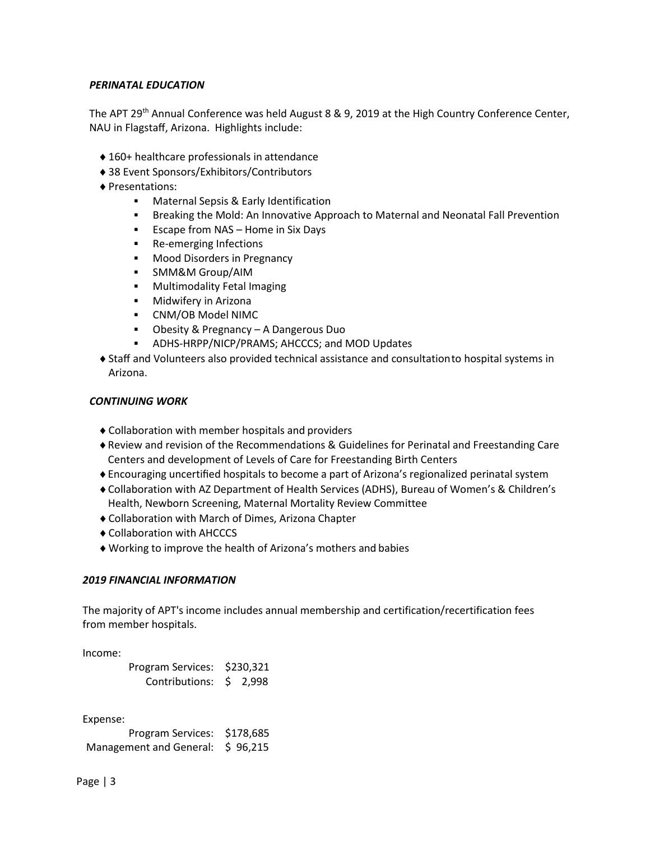## *PERINATAL EDUCATION*

The APT 29<sup>th</sup> Annual Conference was held August 8 & 9, 2019 at the High Country Conference Center, NAU in Flagstaff, Arizona. Highlights include:

- ♦160+ healthcare professionals in attendance
- ♦38 Event Sponsors/Exhibitors/Contributors
- ♦Presentations:
	- Maternal Sepsis & Early Identification
	- **Breaking the Mold: An Innovative Approach to Maternal and Neonatal Fall Prevention**
	- $\blacksquare$  Escape from NAS Home in Six Days
	- **Re-emerging Infections**
	- **Mood Disorders in Pregnancy**
	- **SMM&M Group/AIM**
	- **Multimodality Fetal Imaging**
	- **Nidwifery in Arizona**
	- CNM/OB Model NIMC
	- Obesity & Pregnancy A Dangerous Duo
	- ADHS-HRPP/NICP/PRAMS; AHCCCS; and MOD Updates
- ♦Staff and Volunteers also provided technical assistance and consultationto hospital systems in Arizona.

#### *CONTINUING WORK*

- ♦Collaboration with member hospitals and providers
- ♦Review and revision of the Recommendations & Guidelines for Perinatal and Freestanding Care Centers and development of Levels of Care for Freestanding Birth Centers
- ♦Encouraging uncertified hospitals to become a part of Arizona's regionalized perinatal system
- ♦Collaboration with AZ Department of Health Services (ADHS), Bureau of Women's & Children's Health, Newborn Screening, Maternal Mortality Review Committee
- ♦Collaboration with March of Dimes, Arizona Chapter
- ♦Collaboration with AHCCCS
- ♦Working to improve the health of Arizona's mothers and babies

#### *2019 FINANCIAL INFORMATION*

The majority of APT's income includes annual membership and certification/recertification fees from member hospitals.

Income:

| Program Services: \$230,321 |  |
|-----------------------------|--|
| Contributions: \$ 2,998     |  |

Expense:

Program Services: \$178,685 Management and General: \$96,215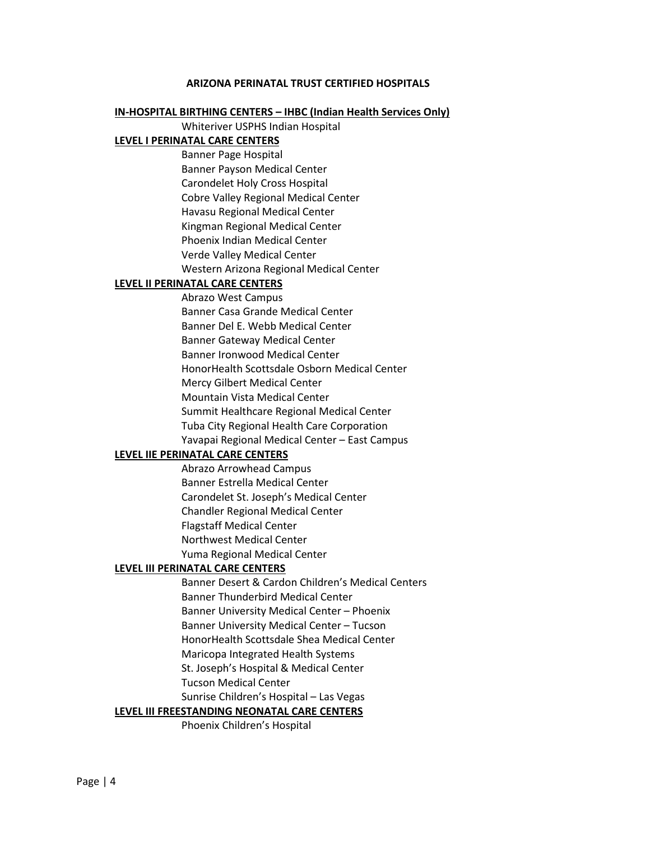#### **ARIZONA PERINATAL TRUST CERTIFIED HOSPITALS**

#### **IN-HOSPITAL BIRTHING CENTERS – IHBC (Indian Health Services Only)**

Whiteriver USPHS Indian Hospital

#### **LEVEL I PERINATAL CARE CENTERS**

Banner Page Hospital Banner Payson Medical Center Carondelet Holy Cross Hospital Cobre Valley Regional Medical Center Havasu Regional Medical Center Kingman Regional Medical Center Phoenix Indian Medical Center Verde Valley Medical Center Western Arizona Regional Medical Center

#### **LEVEL II PERINATAL CARE CENTERS**

Abrazo West Campus Banner Casa Grande Medical Center Banner Del E. Webb Medical Center Banner Gateway Medical Center Banner Ironwood Medical Center HonorHealth Scottsdale Osborn Medical Center Mercy Gilbert Medical Center Mountain Vista Medical Center Summit Healthcare Regional Medical Center Tuba City Regional Health Care Corporation Yavapai Regional Medical Center – East Campus

#### **LEVEL IIE PERINATAL CARE CENTERS**

Abrazo Arrowhead Campus Banner Estrella Medical Center Carondelet St. Joseph's Medical Center Chandler Regional Medical Center Flagstaff Medical Center Northwest Medical Center Yuma Regional Medical Center

#### **LEVEL III PERINATAL CARE CENTERS**

Banner Desert & Cardon Children's Medical Centers Banner Thunderbird Medical Center Banner University Medical Center – Phoenix Banner University Medical Center – Tucson HonorHealth Scottsdale Shea Medical Center Maricopa Integrated Health Systems St. Joseph's Hospital & Medical Center Tucson Medical Center

## Sunrise Children's Hospital – Las Vegas

## **LEVEL III FREESTANDING NEONATAL CARE CENTERS**

Phoenix Children's Hospital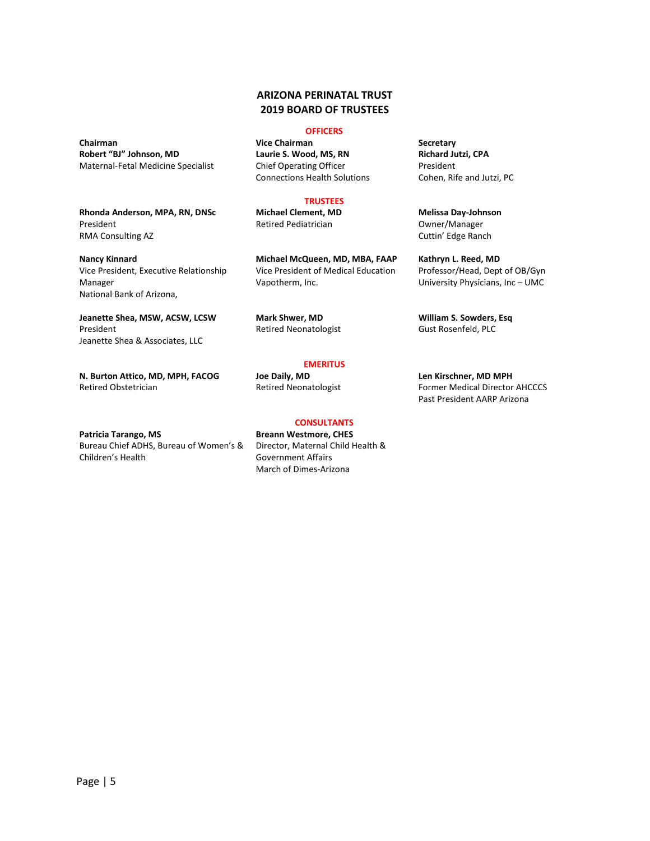#### **ARIZONA PERINATAL TRUST 2019 BOARD OF TRUSTEES**

#### **OFFICERS**

**Chairman Vice Chairman Secretary Laurie S. Wood, MS, RN** Chief Operating Officer Connections Health Solutions

#### **TRUSTEES**

**Michael Clement, MD** Retired Pediatrician

**Michael McQueen, MD, MBA, FAAP** Vice President of Medical Education Vapotherm, Inc.

**Mark Shwer, MD** Retired Neonatologist

#### **EMERITUS**

**CONSULTANTS**

**Joe Daily, MD** Retired Neonatologist

**Patricia Tarango, MS** Bureau Chief ADHS, Bureau of Women's & Children's Health

**Len Kirschner, MD MPH** Former Medical Director AHCCCS Past President AARP Arizona

**Richard Jutzi, CPA** President Cohen, Rife and Jutzi, PC

**Melissa Day-Johnson** Owner/Manager Cuttin' Edge Ranch

**Kathryn L. Reed, MD** Professor/Head, Dept of OB/Gyn University Physicians, Inc – UMC

**William S. Sowders, Esq** Gust Rosenfeld, PLC

Retired Obstetrician

**Robert "BJ" Johnson, MD** Maternal-Fetal Medicine Specialist

President

Manager

President

RMA Consulting AZ

National Bank of Arizona,

**Nancy Kinnard**

**Rhonda Anderson, MPA, RN, DNSc**

Vice President, Executive Relationship

**Jeanette Shea, MSW, ACSW, LCSW**

**N. Burton Attico, MD, MPH, FACOG**

Jeanette Shea & Associates, LLC

**Breann Westmore, CHES** Director, Maternal Child Health & Government Affairs March of Dimes-Arizona